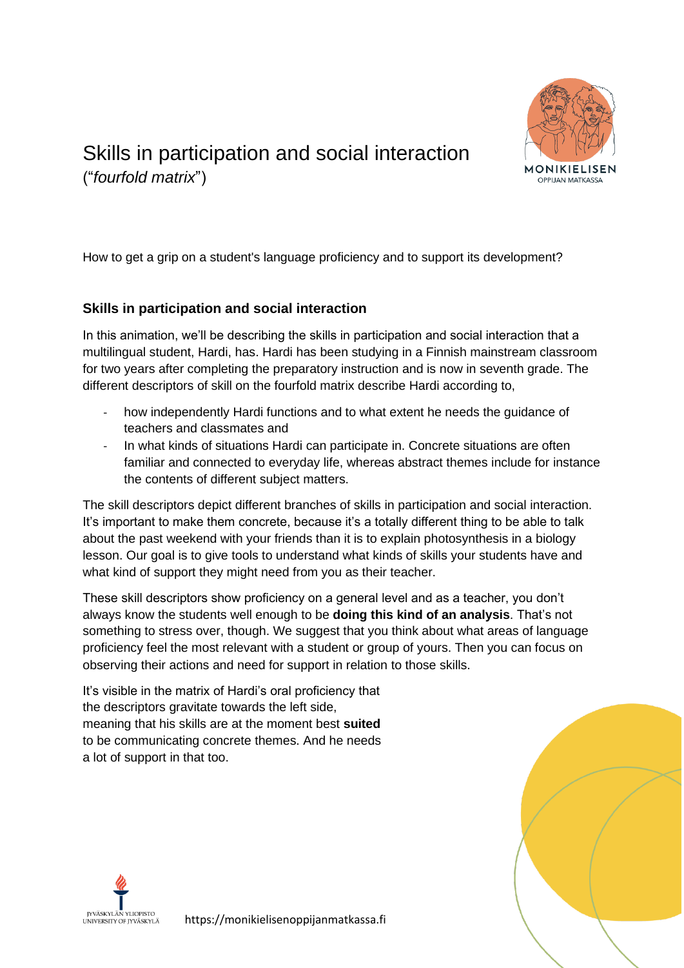

## Skills in participation and social interaction ("*fourfold matrix*")

How to get a grip on a student's language proficiency and to support its development?

## **Skills in participation and social interaction**

In this animation, we'll be describing the skills in participation and social interaction that a multilingual student, Hardi, has. Hardi has been studying in a Finnish mainstream classroom for two years after completing the preparatory instruction and is now in seventh grade. The different descriptors of skill on the fourfold matrix describe Hardi according to,

- how independently Hardi functions and to what extent he needs the quidance of teachers and classmates and
- In what kinds of situations Hardi can participate in. Concrete situations are often familiar and connected to everyday life, whereas abstract themes include for instance the contents of different subject matters.

The skill descriptors depict different branches of skills in participation and social interaction. It's important to make them concrete, because it's a totally different thing to be able to talk about the past weekend with your friends than it is to explain photosynthesis in a biology lesson. Our goal is to give tools to understand what kinds of skills your students have and what kind of support they might need from you as their teacher.

These skill descriptors show proficiency on a general level and as a teacher, you don't always know the students well enough to be **doing this kind of an analysis**. That's not something to stress over, though. We suggest that you think about what areas of language proficiency feel the most relevant with a student or group of yours. Then you can focus on observing their actions and need for support in relation to those skills.

It's visible in the matrix of Hardi's oral proficiency that the descriptors gravitate towards the left side, meaning that his skills are at the moment best **suited** to be communicating concrete themes. And he needs a lot of support in that too.





https://monikielisenoppijanmatkassa.fi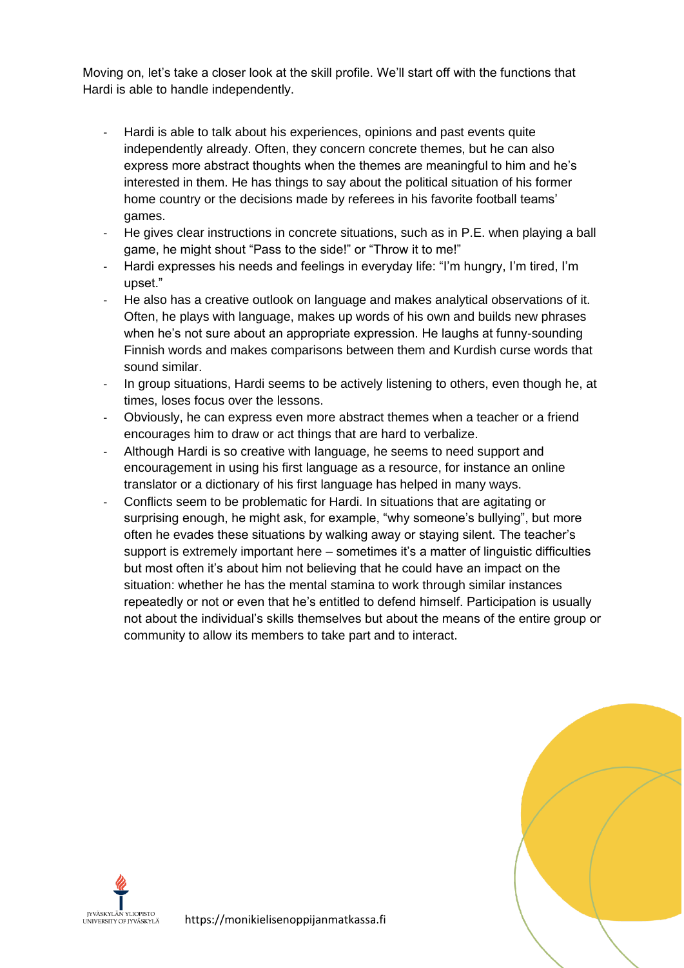Moving on, let's take a closer look at the skill profile. We'll start off with the functions that Hardi is able to handle independently.

- Hardi is able to talk about his experiences, opinions and past events quite independently already. Often, they concern concrete themes, but he can also express more abstract thoughts when the themes are meaningful to him and he's interested in them. He has things to say about the political situation of his former home country or the decisions made by referees in his favorite football teams' games.
- He gives clear instructions in concrete situations, such as in P.E. when playing a ball game, he might shout "Pass to the side!" or "Throw it to me!"
- Hardi expresses his needs and feelings in everyday life: "I'm hungry, I'm tired, I'm upset."
- He also has a creative outlook on language and makes analytical observations of it. Often, he plays with language, makes up words of his own and builds new phrases when he's not sure about an appropriate expression. He laughs at funny-sounding Finnish words and makes comparisons between them and Kurdish curse words that sound similar.
- In group situations, Hardi seems to be actively listening to others, even though he, at times, loses focus over the lessons.
- Obviously, he can express even more abstract themes when a teacher or a friend encourages him to draw or act things that are hard to verbalize.
- Although Hardi is so creative with language, he seems to need support and encouragement in using his first language as a resource, for instance an online translator or a dictionary of his first language has helped in many ways.
- Conflicts seem to be problematic for Hardi. In situations that are agitating or surprising enough, he might ask, for example, "why someone's bullying", but more often he evades these situations by walking away or staying silent. The teacher's support is extremely important here – sometimes it's a matter of linguistic difficulties but most often it's about him not believing that he could have an impact on the situation: whether he has the mental stamina to work through similar instances repeatedly or not or even that he's entitled to defend himself. Participation is usually not about the individual's skills themselves but about the means of the entire group or community to allow its members to take part and to interact.